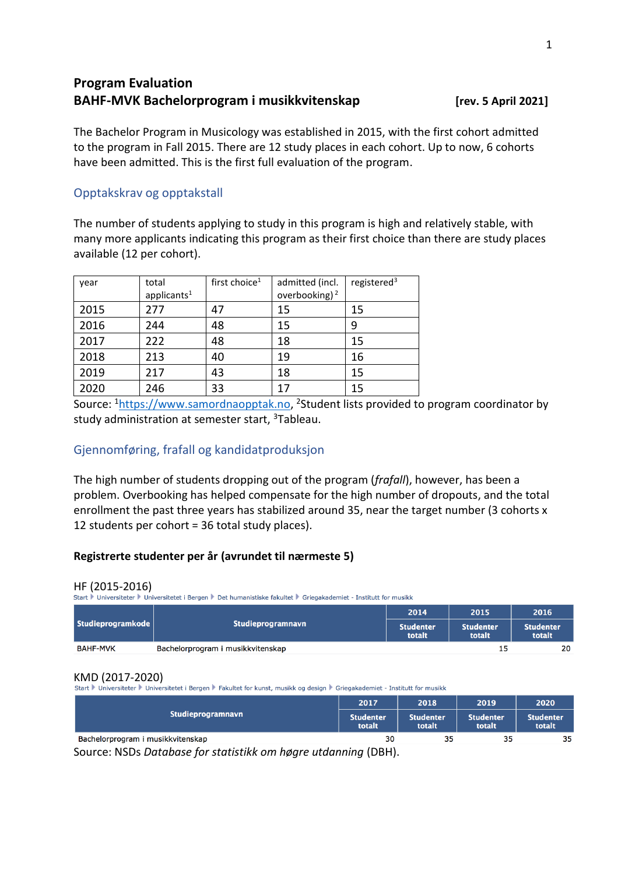# **Program Evaluation BAHF-MVK Bachelorprogram i musikkvitenskap [rev. 5 April 2021]**

The Bachelor Program in Musicology was established in 2015, with the first cohort admitted to the program in Fall 2015. There are 12 study places in each cohort. Up to now, 6 cohorts have been admitted. This is the first full evaluation of the program.

# Opptakskrav og opptakstall

The number of students applying to study in this program is high and relatively stable, with many more applicants indicating this program as their first choice than there are study places available (12 per cohort).

| year | total<br>applicants <sup>1</sup> | first choice <sup>1</sup> | admitted (incl.<br>overbooking) $2$ | registered <sup>3</sup> |
|------|----------------------------------|---------------------------|-------------------------------------|-------------------------|
| 2015 | 277                              | 47                        | 15                                  | 15                      |
| 2016 | 244                              | 48                        | 15                                  | 9                       |
| 2017 | 222                              | 48                        | 18                                  | 15                      |
| 2018 | 213                              | 40                        | 19                                  | 16                      |
| 2019 | 217                              | 43                        | 18                                  | 15                      |
| 2020 | 246                              | 33                        | 17                                  | 15                      |

Source: <sup>1</sup>[https://www.samordnaopptak.no,](https://www.samordnaopptak.no/) <sup>2</sup>Student lists provided to program coordinator by study administration at semester start, <sup>3</sup>Tableau.

# Gjennomføring, frafall og kandidatproduksjon

The high number of students dropping out of the program (*frafall*), however, has been a problem. Overbooking has helped compensate for the high number of dropouts, and the total enrollment the past three years has stabilized around 35, near the target number (3 cohorts x 12 students per cohort = 36 total study places).

# **Registrerte studenter per år (avrundet til nærmeste 5)**

HF (2015-2016)<br>Start ▶ Universiteter ▶ Universitetet i Bergen ▶ Det humanistiske fakultet ▶ Griegakademiet - Institutt for musikk

|                   |                                   | 2014                       | 2015                       | 2016                       |
|-------------------|-----------------------------------|----------------------------|----------------------------|----------------------------|
| Studieprogramkode | Studieprogramnavn                 | <b>Studenter</b><br>totalt | <b>Studenter</b><br>totalt | <b>Studenter</b><br>totalt |
| <b>BAHF-MVK</b>   | Bachelorprogram i musikkvitenskap |                            | 15                         | 20                         |

KMD (2017-2020)<br>Start Duniversiteter Duniversitetet i Bergen DFakultet for kunst, musikk og design DGriegakademiet - Institutt for musikk

|                                                                   | 2017                       | 2018                       |                            | 2020                       |
|-------------------------------------------------------------------|----------------------------|----------------------------|----------------------------|----------------------------|
| Studieprogramnavn                                                 | <b>Studenter</b><br>totalt | <b>Studenter</b><br>totalt | <b>Studenter</b><br>totalt | <b>Studenter</b><br>totalt |
| Bachelorprogram i musikkvitenskap                                 | 30                         | 35                         | 35                         | 35                         |
| Counsel MCDe Detabase for statistic and because it departs of DDU |                            |                            |                            |                            |

Source: NSDs *Database for statistikk om høgre utdanning* (DBH).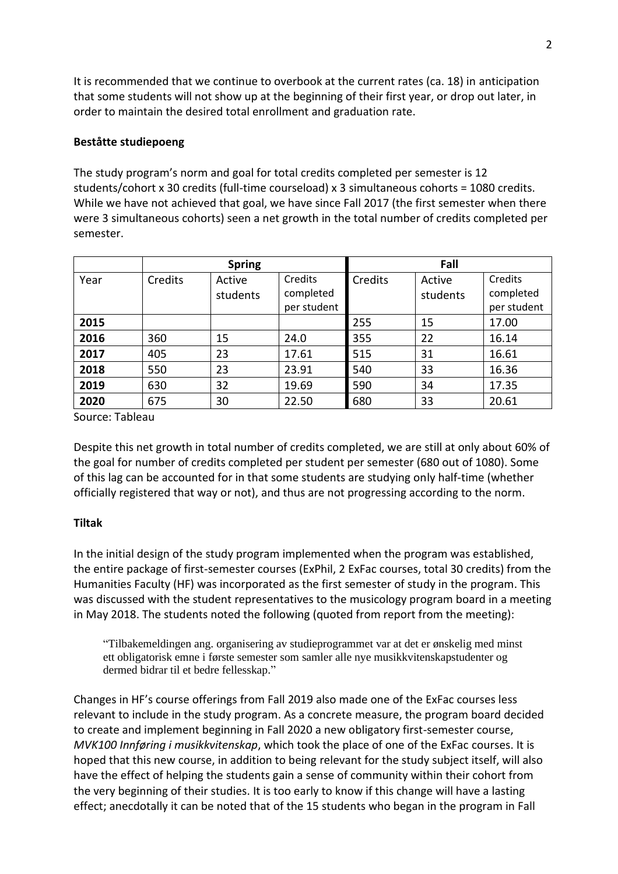It is recommended that we continue to overbook at the current rates (ca. 18) in anticipation that some students will not show up at the beginning of their first year, or drop out later, in order to maintain the desired total enrollment and graduation rate.

## **Beståtte studiepoeng**

The study program's norm and goal for total credits completed per semester is 12 students/cohort x 30 credits (full-time courseload) x 3 simultaneous cohorts = 1080 credits. While we have not achieved that goal, we have since Fall 2017 (the first semester when there were 3 simultaneous cohorts) seen a net growth in the total number of credits completed per semester.

|      | <b>Spring</b> |                    |                                     | Fall    |                    |                                     |
|------|---------------|--------------------|-------------------------------------|---------|--------------------|-------------------------------------|
| Year | Credits       | Active<br>students | Credits<br>completed<br>per student | Credits | Active<br>students | Credits<br>completed<br>per student |
| 2015 |               |                    |                                     | 255     | 15                 | 17.00                               |
| 2016 | 360           | 15                 | 24.0                                | 355     | 22                 | 16.14                               |
| 2017 | 405           | 23                 | 17.61                               | 515     | 31                 | 16.61                               |
| 2018 | 550           | 23                 | 23.91                               | 540     | 33                 | 16.36                               |
| 2019 | 630           | 32                 | 19.69                               | 590     | 34                 | 17.35                               |
| 2020 | 675           | 30                 | 22.50                               | 680     | 33                 | 20.61                               |

Source: Tableau

Despite this net growth in total number of credits completed, we are still at only about 60% of the goal for number of credits completed per student per semester (680 out of 1080). Some of this lag can be accounted for in that some students are studying only half-time (whether officially registered that way or not), and thus are not progressing according to the norm.

# **Tiltak**

In the initial design of the study program implemented when the program was established, the entire package of first-semester courses (ExPhil, 2 ExFac courses, total 30 credits) from the Humanities Faculty (HF) was incorporated as the first semester of study in the program. This was discussed with the student representatives to the musicology program board in a meeting in May 2018. The students noted the following (quoted from report from the meeting):

"Tilbakemeldingen ang. organisering av studieprogrammet var at det er ønskelig med minst ett obligatorisk emne i første semester som samler alle nye musikkvitenskapstudenter og dermed bidrar til et bedre fellesskap."

Changes in HF's course offerings from Fall 2019 also made one of the ExFac courses less relevant to include in the study program. As a concrete measure, the program board decided to create and implement beginning in Fall 2020 a new obligatory first-semester course, *MVK100 Innføring i musikkvitenskap*, which took the place of one of the ExFac courses. It is hoped that this new course, in addition to being relevant for the study subject itself, will also have the effect of helping the students gain a sense of community within their cohort from the very beginning of their studies. It is too early to know if this change will have a lasting effect; anecdotally it can be noted that of the 15 students who began in the program in Fall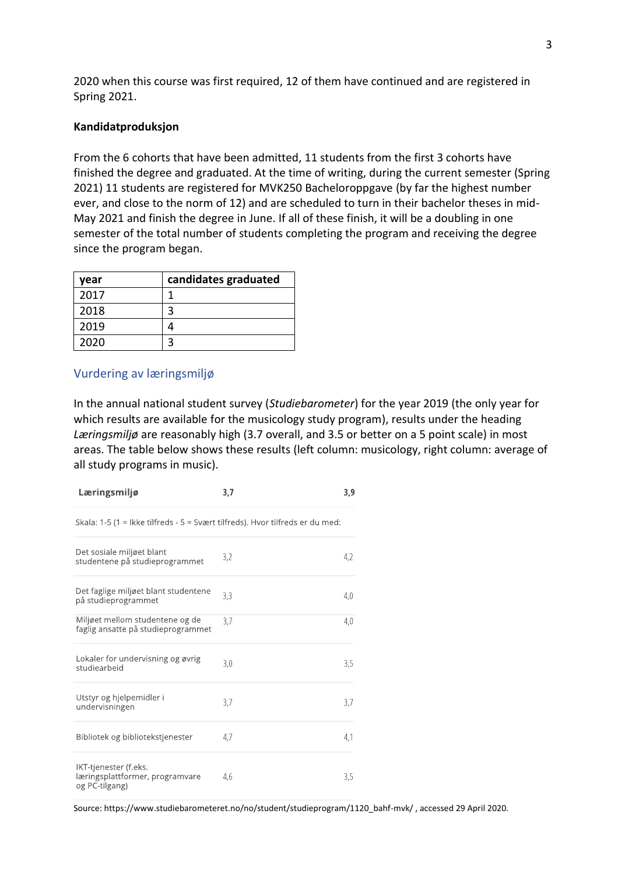2020 when this course was first required, 12 of them have continued and are registered in Spring 2021.

## **Kandidatproduksjon**

From the 6 cohorts that have been admitted, 11 students from the first 3 cohorts have finished the degree and graduated. At the time of writing, during the current semester (Spring 2021) 11 students are registered for MVK250 Bacheloroppgave (by far the highest number ever, and close to the norm of 12) and are scheduled to turn in their bachelor theses in mid-May 2021 and finish the degree in June. If all of these finish, it will be a doubling in one semester of the total number of students completing the program and receiving the degree since the program began.

| year | candidates graduated |
|------|----------------------|
| 2017 |                      |
| 2018 |                      |
| 2019 |                      |
| 2020 |                      |

## Vurdering av læringsmiljø

In the annual national student survey (*Studiebarometer*) for the year 2019 (the only year for which results are available for the musicology study program), results under the heading *Læringsmiljø* are reasonably high (3.7 overall, and 3.5 or better on a 5 point scale) in most areas. The table below shows these results (left column: musicology, right column: average of all study programs in music).

| Læringsmiljø                                                                  | 3,7 | 3,9 |
|-------------------------------------------------------------------------------|-----|-----|
| Skala: 1-5 (1 = Ikke tilfreds - 5 = Svært tilfreds). Hvor tilfreds er du med: |     |     |
| Det sosiale miljøet blant<br>studentene på studieprogrammet                   | 3,2 | 4.2 |
| Det faglige miljøet blant studentene<br>på studieprogrammet                   | 3,3 | 4,0 |
| Miljøet mellom studentene og de<br>faglig ansatte på studieprogrammet         | 3.7 | 4.0 |
| Lokaler for undervisning og øvrig<br>studiearbeid                             | 3,0 | 3,5 |
| Utstyr og hjelpemidler i<br>undervisningen                                    | 3,7 | 3,7 |
| Bibliotek og bibliotekstjenester                                              | 4,7 | 4,1 |
| IKT-tjenester (f.eks.<br>læringsplattformer, programvare<br>og PC-tilgang)    | 4.6 | 3,5 |

Source: https://www.studiebarometeret.no/no/student/studieprogram/1120\_bahf-mvk/ , accessed 29 April 2020.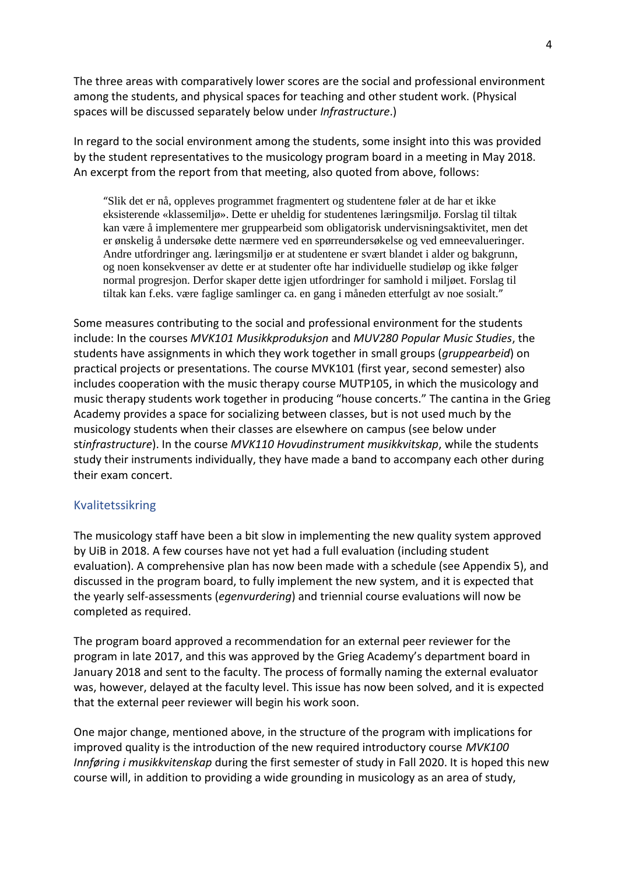The three areas with comparatively lower scores are the social and professional environment among the students, and physical spaces for teaching and other student work. (Physical spaces will be discussed separately below under *Infrastructure*.)

In regard to the social environment among the students, some insight into this was provided by the student representatives to the musicology program board in a meeting in May 2018. An excerpt from the report from that meeting, also quoted from above, follows:

"Slik det er nå, oppleves programmet fragmentert og studentene føler at de har et ikke eksisterende «klassemiljø». Dette er uheldig for studentenes læringsmiljø. Forslag til tiltak kan være å implementere mer gruppearbeid som obligatorisk undervisningsaktivitet, men det er ønskelig å undersøke dette nærmere ved en spørreundersøkelse og ved emneevalueringer. Andre utfordringer ang. læringsmiljø er at studentene er svært blandet i alder og bakgrunn, og noen konsekvenser av dette er at studenter ofte har individuelle studieløp og ikke følger normal progresjon. Derfor skaper dette igjen utfordringer for samhold i miljøet. Forslag til tiltak kan f.eks. være faglige samlinger ca. en gang i måneden etterfulgt av noe sosialt."

Some measures contributing to the social and professional environment for the students include: In the courses *MVK101 Musikkproduksjon* and *MUV280 Popular Music Studies*, the students have assignments in which they work together in small groups (*gruppearbeid*) on practical projects or presentations. The course MVK101 (first year, second semester) also includes cooperation with the music therapy course MUTP105, in which the musicology and music therapy students work together in producing "house concerts." The cantina in the Grieg Academy provides a space for socializing between classes, but is not used much by the musicology students when their classes are elsewhere on campus (see below under st*infrastructure*). In the course *MVK110 Hovudinstrument musikkvitskap*, while the students study their instruments individually, they have made a band to accompany each other during their exam concert.

# Kvalitetssikring

The musicology staff have been a bit slow in implementing the new quality system approved by UiB in 2018. A few courses have not yet had a full evaluation (including student evaluation). A comprehensive plan has now been made with a schedule (see Appendix 5), and discussed in the program board, to fully implement the new system, and it is expected that the yearly self-assessments (*egenvurdering*) and triennial course evaluations will now be completed as required.

The program board approved a recommendation for an external peer reviewer for the program in late 2017, and this was approved by the Grieg Academy's department board in January 2018 and sent to the faculty. The process of formally naming the external evaluator was, however, delayed at the faculty level. This issue has now been solved, and it is expected that the external peer reviewer will begin his work soon.

One major change, mentioned above, in the structure of the program with implications for improved quality is the introduction of the new required introductory course *MVK100 Innføring i musikkvitenskap* during the first semester of study in Fall 2020. It is hoped this new course will, in addition to providing a wide grounding in musicology as an area of study,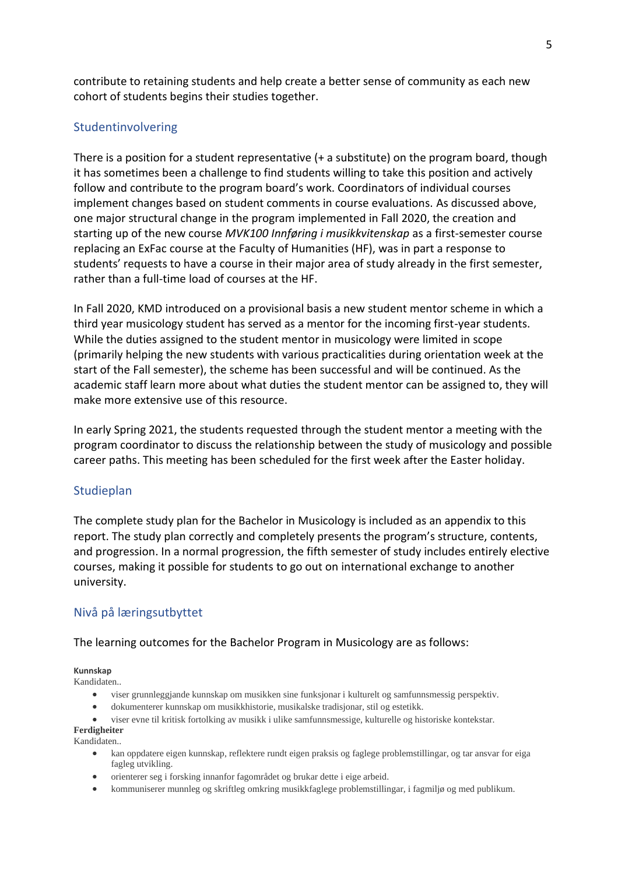contribute to retaining students and help create a better sense of community as each new cohort of students begins their studies together.

# Studentinvolvering

There is a position for a student representative  $(+ a$  substitute) on the program board, though it has sometimes been a challenge to find students willing to take this position and actively follow and contribute to the program board's work. Coordinators of individual courses implement changes based on student comments in course evaluations. As discussed above, one major structural change in the program implemented in Fall 2020, the creation and starting up of the new course *MVK100 Innføring i musikkvitenskap* as a first-semester course replacing an ExFac course at the Faculty of Humanities (HF), was in part a response to students' requests to have a course in their major area of study already in the first semester, rather than a full-time load of courses at the HF.

In Fall 2020, KMD introduced on a provisional basis a new student mentor scheme in which a third year musicology student has served as a mentor for the incoming first-year students. While the duties assigned to the student mentor in musicology were limited in scope (primarily helping the new students with various practicalities during orientation week at the start of the Fall semester), the scheme has been successful and will be continued. As the academic staff learn more about what duties the student mentor can be assigned to, they will make more extensive use of this resource.

In early Spring 2021, the students requested through the student mentor a meeting with the program coordinator to discuss the relationship between the study of musicology and possible career paths. This meeting has been scheduled for the first week after the Easter holiday.

# Studieplan

The complete study plan for the Bachelor in Musicology is included as an appendix to this report. The study plan correctly and completely presents the program's structure, contents, and progression. In a normal progression, the fifth semester of study includes entirely elective courses, making it possible for students to go out on international exchange to another university.

# Nivå på læringsutbyttet

## The learning outcomes for the Bachelor Program in Musicology are as follows:

### **Kunnskap**

Kandidaten..

- viser grunnleggjande kunnskap om musikken sine funksjonar i kulturelt og samfunnsmessig perspektiv.
- dokumenterer kunnskap om musikkhistorie, musikalske tradisjonar, stil og estetikk.
- viser evne til kritisk fortolking av musikk i ulike samfunnsmessige, kulturelle og historiske kontekstar. **Ferdigheiter**

## Kandidaten..

- kan oppdatere eigen kunnskap, reflektere rundt eigen praksis og faglege problemstillingar, og tar ansvar for eiga fagleg utvikling.
- orienterer seg i forsking innanfor fagområdet og brukar dette i eige arbeid.
- kommuniserer munnleg og skriftleg omkring musikkfaglege problemstillingar, i fagmiljø og med publikum.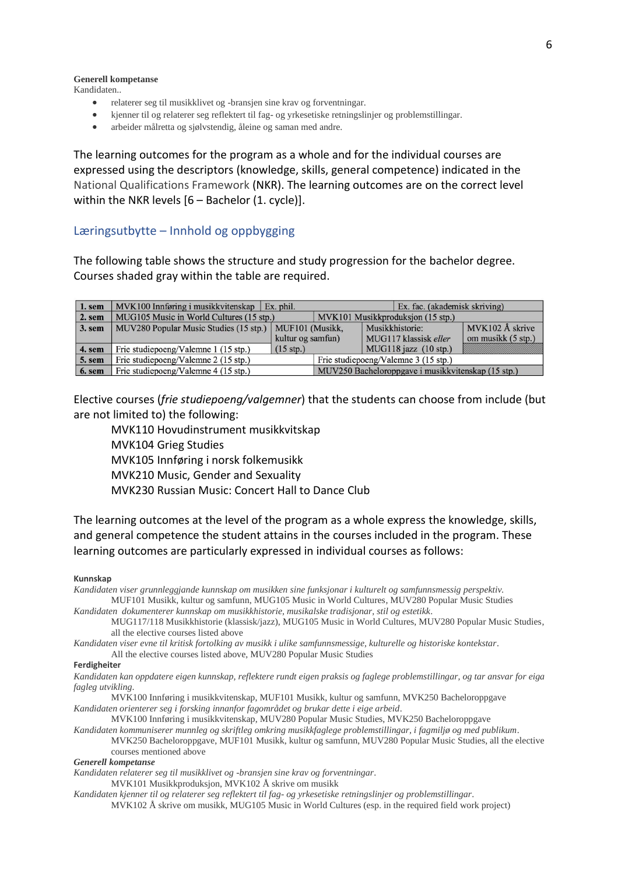## **Generell kompetanse**

Kandidaten..

- relaterer seg til musikklivet og -bransjen sine krav og forventningar.
- kjenner til og relaterer seg reflektert til fag- og yrkesetiske retningslinjer og problemstillingar.
- arbeider målretta og sjølvstendig, åleine og saman med andre.

The learning outcomes for the program as a whole and for the individual courses are expressed using the descriptors (knowledge, skills, general competence) indicated in the National Qualifications Framework (NKR). The learning outcomes are on the correct level within the NKR levels [6 – Bachelor (1. cycle)].

## Læringsutbytte – Innhold og oppbygging

The following table shows the structure and study progression for the bachelor degree. Courses shaded gray within the table are required.

| 1. sem | $MVK100$ Innføring i musikkvitenskap   Ex. phil.         |                   |                                                    |                       | Ex. fac. (akademisk skriving)   |                    |
|--------|----------------------------------------------------------|-------------------|----------------------------------------------------|-----------------------|---------------------------------|--------------------|
| 2. sem | MUG105 Music in World Cultures (15 stp.)                 |                   | MVK101 Musikkproduksjon (15 stp.)                  |                       |                                 |                    |
| 3. sem | MUV280 Popular Music Studies (15 stp.)   MUF101 (Musikk, |                   |                                                    | Musikkhistorie:       |                                 | MVK102 Å skrive    |
|        |                                                          | kultur og samfun) |                                                    | MUG117 klassisk eller |                                 | om musikk (5 stp.) |
| 4. sem | $(15$ stp.)<br>Frie studiepoeng/Valemne 1 (15 stp.)      |                   |                                                    |                       | MUG118 jazz $(10 \text{ str.})$ |                    |
| 5. sem | Frie studiepoeng/Valemne 2 (15 stp.)                     |                   | Frie studiepoeng/Valemne 3 (15 stp.)               |                       |                                 |                    |
| 6. sem | Frie studiepoeng/Valemne 4 (15 stp.)                     |                   | MUV250 Bacheloroppgave i musikkvitenskap (15 stp.) |                       |                                 |                    |

Elective courses (*frie studiepoeng/valgemner*) that the students can choose from include (but are not limited to) the following:

MVK110 Hovudinstrument musikkvitskap MVK104 Grieg Studies MVK105 Innføring i norsk folkemusikk MVK210 Music, Gender and Sexuality MVK230 Russian Music: Concert Hall to Dance Club

The learning outcomes at the level of the program as a whole express the knowledge, skills, and general competence the student attains in the courses included in the program. These learning outcomes are particularly expressed in individual courses as follows:

#### **Kunnskap**

*Kandidaten viser grunnleggjande kunnskap om musikken sine funksjonar i kulturelt og samfunnsmessig perspektiv.* MUF101 Musikk, kultur og samfunn, MUG105 Music in World Cultures, MUV280 Popular Music Studies

*Kandidaten dokumenterer kunnskap om musikkhistorie, musikalske tradisjonar, stil og estetikk*.

MUG117/118 Musikkhistorie (klassisk/jazz), MUG105 Music in World Cultures, MUV280 Popular Music Studies, all the elective courses listed above

*Kandidaten viser evne til kritisk fortolking av musikk i ulike samfunnsmessige, kulturelle og historiske kontekstar*.

All the elective courses listed above, MUV280 Popular Music Studies

### **Ferdigheiter**

*Kandidaten kan oppdatere eigen kunnskap, reflektere rundt eigen praksis og faglege problemstillingar, og tar ansvar for eiga fagleg utvikling*.

MVK100 Innføring i musikkvitenskap, MUF101 Musikk, kultur og samfunn, MVK250 Bacheloroppgave *Kandidaten orienterer seg i forsking innanfor fagområdet og brukar dette i eige arbeid*.

MVK100 Innføring i musikkvitenskap, MUV280 Popular Music Studies, MVK250 Bacheloroppgave *Kandidaten kommuniserer munnleg og skriftleg omkring musikkfaglege problemstillingar, i fagmiljø og med publikum*.

MVK250 Bacheloroppgave, MUF101 Musikk, kultur og samfunn, MUV280 Popular Music Studies, all the elective courses mentioned above

### *Generell kompetanse*

*Kandidaten relaterer seg til musikklivet og -bransjen sine krav og forventningar*.

MVK101 Musikkproduksjon, MVK102 Å skrive om musikk

*Kandidaten kjenner til og relaterer seg reflektert til fag- og yrkesetiske retningslinjer og problemstillingar*. MVK102 Å skrive om musikk, MUG105 Music in World Cultures (esp. in the required field work project)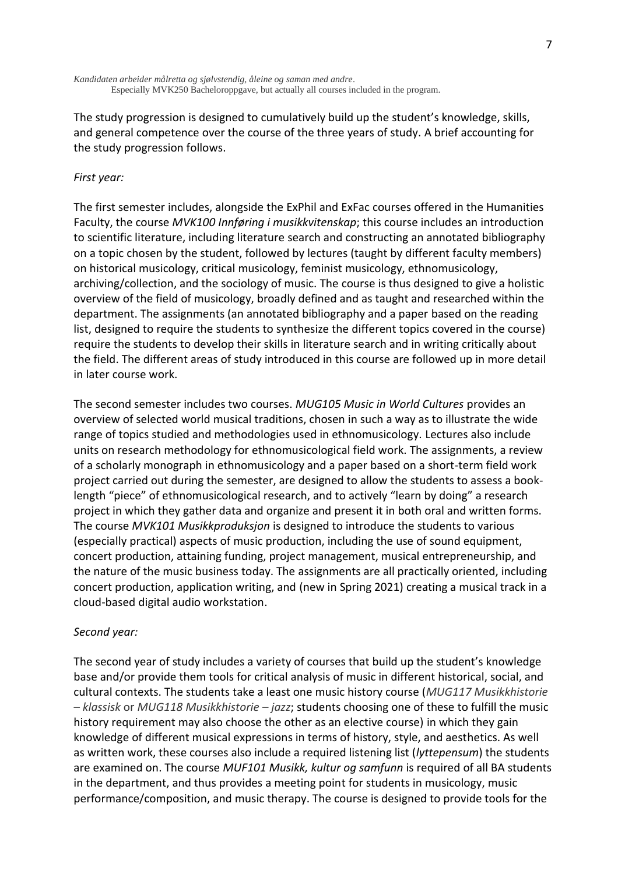*Kandidaten arbeider målretta og sjølvstendig, åleine og saman med andre*. Especially MVK250 Bacheloroppgave, but actually all courses included in the program.

The study progression is designed to cumulatively build up the student's knowledge, skills, and general competence over the course of the three years of study. A brief accounting for the study progression follows.

## *First year:*

The first semester includes, alongside the ExPhil and ExFac courses offered in the Humanities Faculty, the course *MVK100 Innføring i musikkvitenskap*; this course includes an introduction to scientific literature, including literature search and constructing an annotated bibliography on a topic chosen by the student, followed by lectures (taught by different faculty members) on historical musicology, critical musicology, feminist musicology, ethnomusicology, archiving/collection, and the sociology of music. The course is thus designed to give a holistic overview of the field of musicology, broadly defined and as taught and researched within the department. The assignments (an annotated bibliography and a paper based on the reading list, designed to require the students to synthesize the different topics covered in the course) require the students to develop their skills in literature search and in writing critically about the field. The different areas of study introduced in this course are followed up in more detail in later course work.

The second semester includes two courses. *MUG105 Music in World Cultures* provides an overview of selected world musical traditions, chosen in such a way as to illustrate the wide range of topics studied and methodologies used in ethnomusicology. Lectures also include units on research methodology for ethnomusicological field work. The assignments, a review of a scholarly monograph in ethnomusicology and a paper based on a short-term field work project carried out during the semester, are designed to allow the students to assess a booklength "piece" of ethnomusicological research, and to actively "learn by doing" a research project in which they gather data and organize and present it in both oral and written forms. The course *MVK101 Musikkproduksjon* is designed to introduce the students to various (especially practical) aspects of music production, including the use of sound equipment, concert production, attaining funding, project management, musical entrepreneurship, and the nature of the music business today. The assignments are all practically oriented, including concert production, application writing, and (new in Spring 2021) creating a musical track in a cloud-based digital audio workstation.

## *Second year:*

The second year of study includes a variety of courses that build up the student's knowledge base and/or provide them tools for critical analysis of music in different historical, social, and cultural contexts. The students take a least one music history course (*MUG117 Musikkhistorie – klassisk* or *MUG118 Musikkhistorie – jazz*; students choosing one of these to fulfill the music history requirement may also choose the other as an elective course) in which they gain knowledge of different musical expressions in terms of history, style, and aesthetics. As well as written work, these courses also include a required listening list (*lyttepensum*) the students are examined on. The course *MUF101 Musikk, kultur og samfunn* is required of all BA students in the department, and thus provides a meeting point for students in musicology, music performance/composition, and music therapy. The course is designed to provide tools for the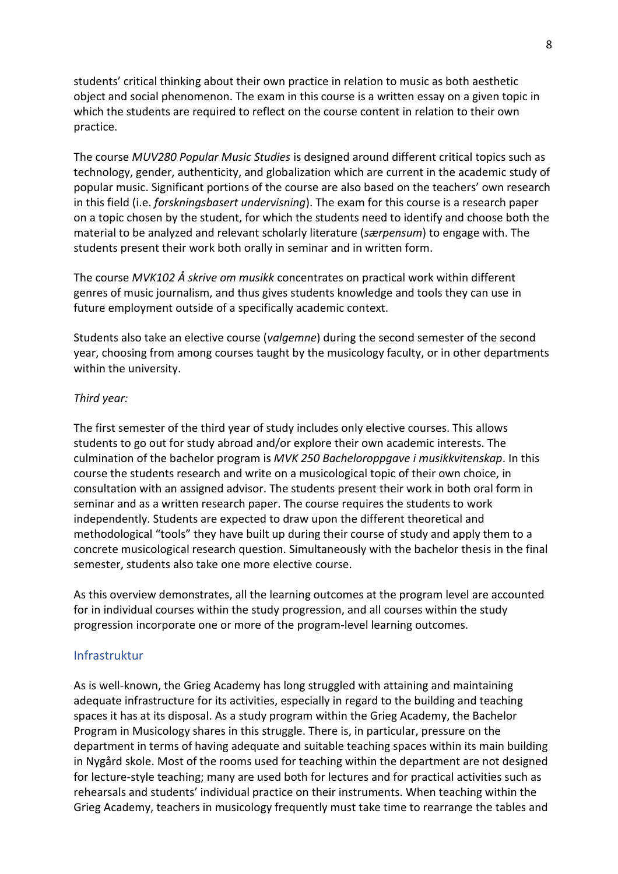students' critical thinking about their own practice in relation to music as both aesthetic object and social phenomenon. The exam in this course is a written essay on a given topic in which the students are required to reflect on the course content in relation to their own practice.

The course *MUV280 Popular Music Studies* is designed around different critical topics such as technology, gender, authenticity, and globalization which are current in the academic study of popular music. Significant portions of the course are also based on the teachers' own research in this field (i.e. *forskningsbasert undervisning*). The exam for this course is a research paper on a topic chosen by the student, for which the students need to identify and choose both the material to be analyzed and relevant scholarly literature (*særpensum*) to engage with. The students present their work both orally in seminar and in written form.

The course *MVK102 Å skrive om musikk* concentrates on practical work within different genres of music journalism, and thus gives students knowledge and tools they can use in future employment outside of a specifically academic context.

Students also take an elective course (*valgemne*) during the second semester of the second year, choosing from among courses taught by the musicology faculty, or in other departments within the university.

## *Third year:*

The first semester of the third year of study includes only elective courses. This allows students to go out for study abroad and/or explore their own academic interests. The culmination of the bachelor program is *MVK 250 Bacheloroppgave i musikkvitenskap*. In this course the students research and write on a musicological topic of their own choice, in consultation with an assigned advisor. The students present their work in both oral form in seminar and as a written research paper. The course requires the students to work independently. Students are expected to draw upon the different theoretical and methodological "tools" they have built up during their course of study and apply them to a concrete musicological research question. Simultaneously with the bachelor thesis in the final semester, students also take one more elective course.

As this overview demonstrates, all the learning outcomes at the program level are accounted for in individual courses within the study progression, and all courses within the study progression incorporate one or more of the program-level learning outcomes.

## Infrastruktur

As is well-known, the Grieg Academy has long struggled with attaining and maintaining adequate infrastructure for its activities, especially in regard to the building and teaching spaces it has at its disposal. As a study program within the Grieg Academy, the Bachelor Program in Musicology shares in this struggle. There is, in particular, pressure on the department in terms of having adequate and suitable teaching spaces within its main building in Nygård skole. Most of the rooms used for teaching within the department are not designed for lecture-style teaching; many are used both for lectures and for practical activities such as rehearsals and students' individual practice on their instruments. When teaching within the Grieg Academy, teachers in musicology frequently must take time to rearrange the tables and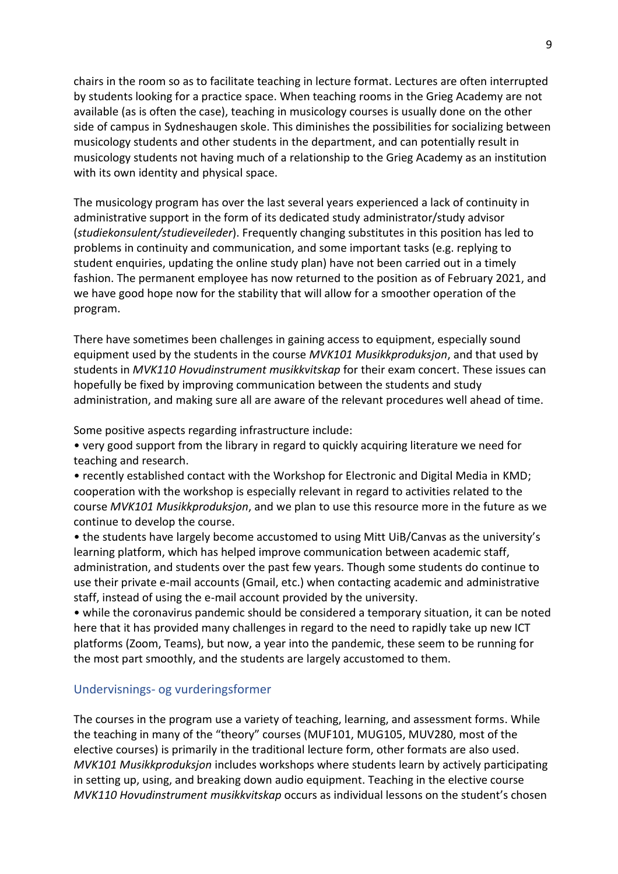chairs in the room so as to facilitate teaching in lecture format. Lectures are often interrupted by students looking for a practice space. When teaching rooms in the Grieg Academy are not available (as is often the case), teaching in musicology courses is usually done on the other side of campus in Sydneshaugen skole. This diminishes the possibilities for socializing between musicology students and other students in the department, and can potentially result in musicology students not having much of a relationship to the Grieg Academy as an institution with its own identity and physical space.

The musicology program has over the last several years experienced a lack of continuity in administrative support in the form of its dedicated study administrator/study advisor (*studiekonsulent/studieveileder*). Frequently changing substitutes in this position has led to problems in continuity and communication, and some important tasks (e.g. replying to student enquiries, updating the online study plan) have not been carried out in a timely fashion. The permanent employee has now returned to the position as of February 2021, and we have good hope now for the stability that will allow for a smoother operation of the program.

There have sometimes been challenges in gaining access to equipment, especially sound equipment used by the students in the course *MVK101 Musikkproduksjon*, and that used by students in *MVK110 Hovudinstrument musikkvitskap* for their exam concert. These issues can hopefully be fixed by improving communication between the students and study administration, and making sure all are aware of the relevant procedures well ahead of time.

Some positive aspects regarding infrastructure include:

• very good support from the library in regard to quickly acquiring literature we need for teaching and research.

• recently established contact with the Workshop for Electronic and Digital Media in KMD; cooperation with the workshop is especially relevant in regard to activities related to the course *MVK101 Musikkproduksjon*, and we plan to use this resource more in the future as we continue to develop the course.

• the students have largely become accustomed to using Mitt UiB/Canvas as the university's learning platform, which has helped improve communication between academic staff, administration, and students over the past few years. Though some students do continue to use their private e-mail accounts (Gmail, etc.) when contacting academic and administrative staff, instead of using the e-mail account provided by the university.

• while the coronavirus pandemic should be considered a temporary situation, it can be noted here that it has provided many challenges in regard to the need to rapidly take up new ICT platforms (Zoom, Teams), but now, a year into the pandemic, these seem to be running for the most part smoothly, and the students are largely accustomed to them.

# Undervisnings- og vurderingsformer

The courses in the program use a variety of teaching, learning, and assessment forms. While the teaching in many of the "theory" courses (MUF101, MUG105, MUV280, most of the elective courses) is primarily in the traditional lecture form, other formats are also used. *MVK101 Musikkproduksjon* includes workshops where students learn by actively participating in setting up, using, and breaking down audio equipment. Teaching in the elective course *MVK110 Hovudinstrument musikkvitskap* occurs as individual lessons on the student's chosen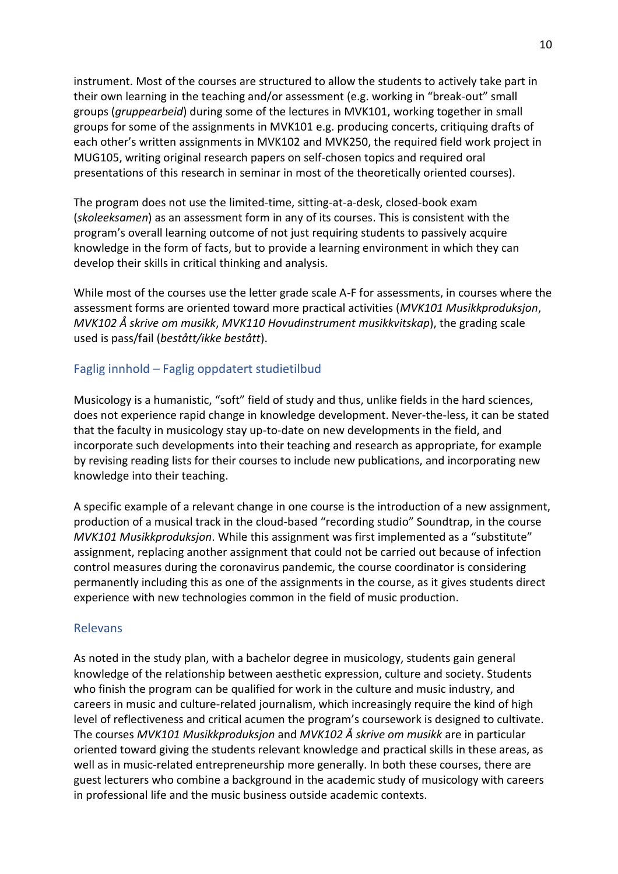instrument. Most of the courses are structured to allow the students to actively take part in their own learning in the teaching and/or assessment (e.g. working in "break-out" small groups (*gruppearbeid*) during some of the lectures in MVK101, working together in small groups for some of the assignments in MVK101 e.g. producing concerts, critiquing drafts of each other's written assignments in MVK102 and MVK250, the required field work project in MUG105, writing original research papers on self-chosen topics and required oral presentations of this research in seminar in most of the theoretically oriented courses).

The program does not use the limited-time, sitting-at-a-desk, closed-book exam (*skoleeksamen*) as an assessment form in any of its courses. This is consistent with the program's overall learning outcome of not just requiring students to passively acquire knowledge in the form of facts, but to provide a learning environment in which they can develop their skills in critical thinking and analysis.

While most of the courses use the letter grade scale A-F for assessments, in courses where the assessment forms are oriented toward more practical activities (*MVK101 Musikkproduksjon*, *MVK102 Å skrive om musikk*, *MVK110 Hovudinstrument musikkvitskap*), the grading scale used is pass/fail (*bestått/ikke bestått*).

## Faglig innhold – Faglig oppdatert studietilbud

Musicology is a humanistic, "soft" field of study and thus, unlike fields in the hard sciences, does not experience rapid change in knowledge development. Never-the-less, it can be stated that the faculty in musicology stay up-to-date on new developments in the field, and incorporate such developments into their teaching and research as appropriate, for example by revising reading lists for their courses to include new publications, and incorporating new knowledge into their teaching.

A specific example of a relevant change in one course is the introduction of a new assignment, production of a musical track in the cloud-based "recording studio" Soundtrap, in the course *MVK101 Musikkproduksjon*. While this assignment was first implemented as a "substitute" assignment, replacing another assignment that could not be carried out because of infection control measures during the coronavirus pandemic, the course coordinator is considering permanently including this as one of the assignments in the course, as it gives students direct experience with new technologies common in the field of music production.

## Relevans

As noted in the study plan, with a bachelor degree in musicology, students gain general knowledge of the relationship between aesthetic expression, culture and society. Students who finish the program can be qualified for work in the culture and music industry, and careers in music and culture-related journalism, which increasingly require the kind of high level of reflectiveness and critical acumen the program's coursework is designed to cultivate. The courses *MVK101 Musikkproduksjon* and *MVK102 Å skrive om musikk* are in particular oriented toward giving the students relevant knowledge and practical skills in these areas, as well as in music-related entrepreneurship more generally. In both these courses, there are guest lecturers who combine a background in the academic study of musicology with careers in professional life and the music business outside academic contexts.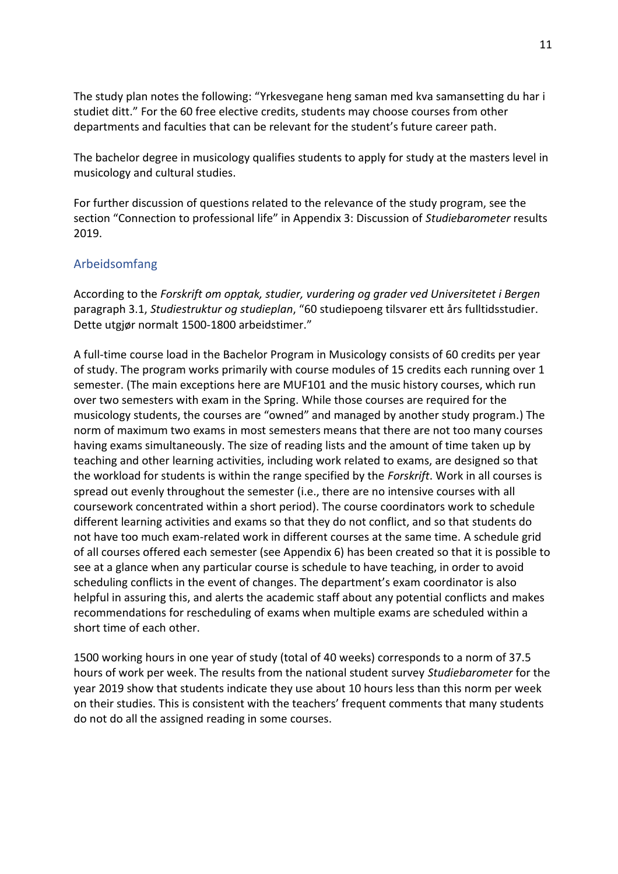The study plan notes the following: "Yrkesvegane heng saman med kva samansetting du har i studiet ditt." For the 60 free elective credits, students may choose courses from other departments and faculties that can be relevant for the student's future career path.

The bachelor degree in musicology qualifies students to apply for study at the masters level in musicology and cultural studies.

For further discussion of questions related to the relevance of the study program, see the section "Connection to professional life" in Appendix 3: Discussion of *Studiebarometer* results 2019.

# Arbeidsomfang

According to the *Forskrift om opptak, studier, vurdering og grader ved Universitetet i Bergen* paragraph 3.1, *Studiestruktur og studieplan*, "60 studiepoeng tilsvarer ett års fulltidsstudier. Dette utgjør normalt 1500-1800 arbeidstimer."

A full-time course load in the Bachelor Program in Musicology consists of 60 credits per year of study. The program works primarily with course modules of 15 credits each running over 1 semester. (The main exceptions here are MUF101 and the music history courses, which run over two semesters with exam in the Spring. While those courses are required for the musicology students, the courses are "owned" and managed by another study program.) The norm of maximum two exams in most semesters means that there are not too many courses having exams simultaneously. The size of reading lists and the amount of time taken up by teaching and other learning activities, including work related to exams, are designed so that the workload for students is within the range specified by the *Forskrift*. Work in all courses is spread out evenly throughout the semester (i.e., there are no intensive courses with all coursework concentrated within a short period). The course coordinators work to schedule different learning activities and exams so that they do not conflict, and so that students do not have too much exam-related work in different courses at the same time. A schedule grid of all courses offered each semester (see Appendix 6) has been created so that it is possible to see at a glance when any particular course is schedule to have teaching, in order to avoid scheduling conflicts in the event of changes. The department's exam coordinator is also helpful in assuring this, and alerts the academic staff about any potential conflicts and makes recommendations for rescheduling of exams when multiple exams are scheduled within a short time of each other.

1500 working hours in one year of study (total of 40 weeks) corresponds to a norm of 37.5 hours of work per week. The results from the national student survey *Studiebarometer* for the year 2019 show that students indicate they use about 10 hours less than this norm per week on their studies. This is consistent with the teachers' frequent comments that many students do not do all the assigned reading in some courses.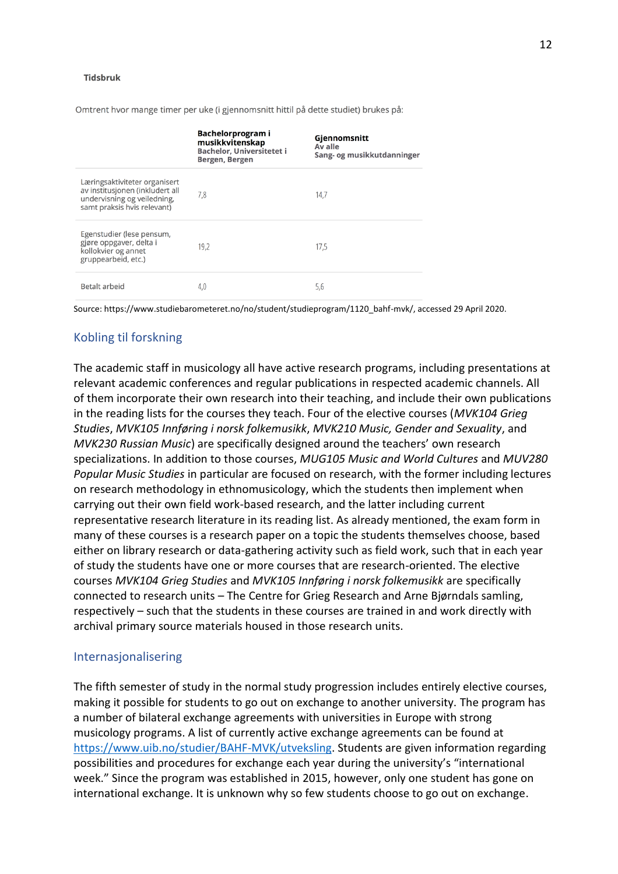#### Tidsbruk

|                                                                                                                                | Bachelorprogram i<br>musikkvitenskap<br><b>Bachelor, Universitetet i</b><br>Bergen, Bergen | Gjennomsnitt<br>Av alle<br>Sang- og musikkutdanninger |
|--------------------------------------------------------------------------------------------------------------------------------|--------------------------------------------------------------------------------------------|-------------------------------------------------------|
| Læringsaktiviteter organisert<br>av institusjonen (inkludert all<br>undervisning og veiledning,<br>samt praksis hvis relevant) | 7,8                                                                                        | 14,7                                                  |
| Egenstudier (lese pensum,<br>gjøre oppgaver, delta i<br>kollokvier og annet<br>gruppearbeid, etc.)                             | 19,2                                                                                       | 17,5                                                  |
| Betalt arbeid                                                                                                                  | 4,0                                                                                        | 5,6                                                   |

Omtrent hvor mange timer per uke (i gjennomsnitt hittil på dette studiet) brukes på:

Source: https://www.studiebarometeret.no/no/student/studieprogram/1120\_bahf-mvk/, accessed 29 April 2020.

## Kobling til forskning

The academic staff in musicology all have active research programs, including presentations at relevant academic conferences and regular publications in respected academic channels. All of them incorporate their own research into their teaching, and include their own publications in the reading lists for the courses they teach. Four of the elective courses (*MVK104 Grieg Studies*, *MVK105 Innføring i norsk folkemusikk*, *MVK210 Music, Gender and Sexuality*, and *MVK230 Russian Music*) are specifically designed around the teachers' own research specializations. In addition to those courses, *MUG105 Music and World Cultures* and *MUV280 Popular Music Studies* in particular are focused on research, with the former including lectures on research methodology in ethnomusicology, which the students then implement when carrying out their own field work-based research, and the latter including current representative research literature in its reading list. As already mentioned, the exam form in many of these courses is a research paper on a topic the students themselves choose, based either on library research or data-gathering activity such as field work, such that in each year of study the students have one or more courses that are research-oriented. The elective courses *MVK104 Grieg Studies* and *MVK105 Innføring i norsk folkemusikk* are specifically connected to research units – The Centre for Grieg Research and Arne Bjørndals samling, respectively – such that the students in these courses are trained in and work directly with archival primary source materials housed in those research units.

## Internasjonalisering

The fifth semester of study in the normal study progression includes entirely elective courses, making it possible for students to go out on exchange to another university. The program has a number of bilateral exchange agreements with universities in Europe with strong musicology programs. A list of currently active exchange agreements can be found at [https://www.uib.no/studier/BAHF-MVK/utveksling.](https://www.uib.no/studier/BAHF-MVK/utveksling) Students are given information regarding possibilities and procedures for exchange each year during the university's "international week." Since the program was established in 2015, however, only one student has gone on international exchange. It is unknown why so few students choose to go out on exchange.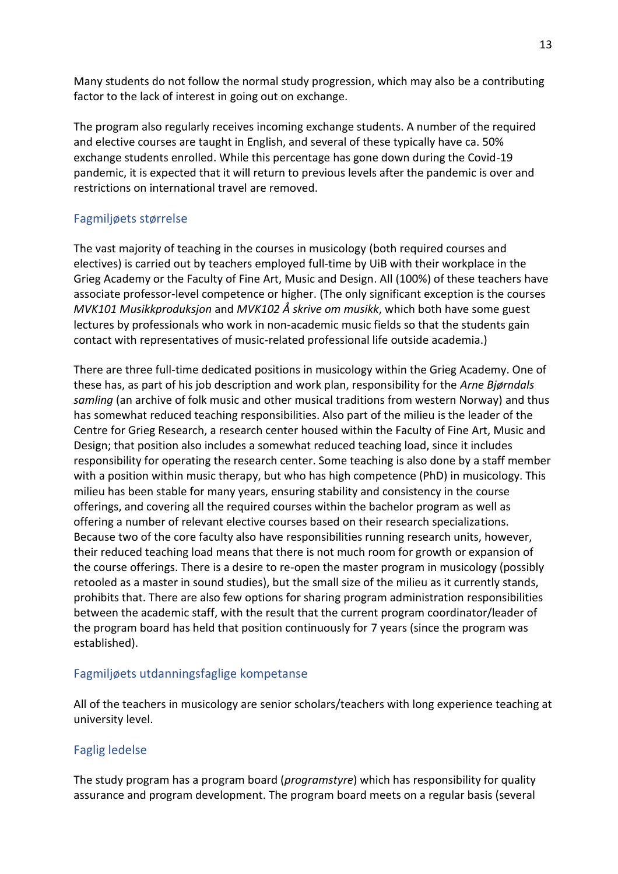Many students do not follow the normal study progression, which may also be a contributing factor to the lack of interest in going out on exchange.

The program also regularly receives incoming exchange students. A number of the required and elective courses are taught in English, and several of these typically have ca. 50% exchange students enrolled. While this percentage has gone down during the Covid-19 pandemic, it is expected that it will return to previous levels after the pandemic is over and restrictions on international travel are removed.

# Fagmiljøets størrelse

The vast majority of teaching in the courses in musicology (both required courses and electives) is carried out by teachers employed full-time by UiB with their workplace in the Grieg Academy or the Faculty of Fine Art, Music and Design. All (100%) of these teachers have associate professor-level competence or higher. (The only significant exception is the courses *MVK101 Musikkproduksjon* and *MVK102 Å skrive om musikk*, which both have some guest lectures by professionals who work in non-academic music fields so that the students gain contact with representatives of music-related professional life outside academia.)

There are three full-time dedicated positions in musicology within the Grieg Academy. One of these has, as part of his job description and work plan, responsibility for the *Arne Bjørndals samling* (an archive of folk music and other musical traditions from western Norway) and thus has somewhat reduced teaching responsibilities. Also part of the milieu is the leader of the Centre for Grieg Research, a research center housed within the Faculty of Fine Art, Music and Design; that position also includes a somewhat reduced teaching load, since it includes responsibility for operating the research center. Some teaching is also done by a staff member with a position within music therapy, but who has high competence (PhD) in musicology. This milieu has been stable for many years, ensuring stability and consistency in the course offerings, and covering all the required courses within the bachelor program as well as offering a number of relevant elective courses based on their research specializations. Because two of the core faculty also have responsibilities running research units, however, their reduced teaching load means that there is not much room for growth or expansion of the course offerings. There is a desire to re-open the master program in musicology (possibly retooled as a master in sound studies), but the small size of the milieu as it currently stands, prohibits that. There are also few options for sharing program administration responsibilities between the academic staff, with the result that the current program coordinator/leader of the program board has held that position continuously for 7 years (since the program was established).

# Fagmiljøets utdanningsfaglige kompetanse

All of the teachers in musicology are senior scholars/teachers with long experience teaching at university level.

# Faglig ledelse

The study program has a program board (*programstyre*) which has responsibility for quality assurance and program development. The program board meets on a regular basis (several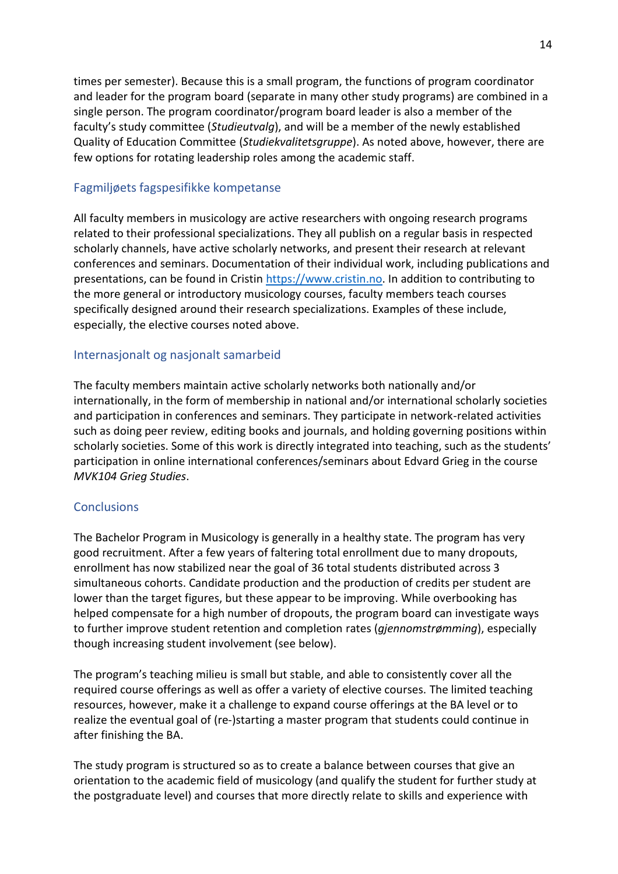times per semester). Because this is a small program, the functions of program coordinator and leader for the program board (separate in many other study programs) are combined in a single person. The program coordinator/program board leader is also a member of the faculty's study committee (*Studieutvalg*), and will be a member of the newly established Quality of Education Committee (*Studiekvalitetsgruppe*). As noted above, however, there are few options for rotating leadership roles among the academic staff.

# Fagmiljøets fagspesifikke kompetanse

All faculty members in musicology are active researchers with ongoing research programs related to their professional specializations. They all publish on a regular basis in respected scholarly channels, have active scholarly networks, and present their research at relevant conferences and seminars. Documentation of their individual work, including publications and presentations, can be found in Cristin [https://www.cristin.no.](https://www.cristin.no/) In addition to contributing to the more general or introductory musicology courses, faculty members teach courses specifically designed around their research specializations. Examples of these include, especially, the elective courses noted above.

# Internasjonalt og nasjonalt samarbeid

The faculty members maintain active scholarly networks both nationally and/or internationally, in the form of membership in national and/or international scholarly societies and participation in conferences and seminars. They participate in network-related activities such as doing peer review, editing books and journals, and holding governing positions within scholarly societies. Some of this work is directly integrated into teaching, such as the students' participation in online international conferences/seminars about Edvard Grieg in the course *MVK104 Grieg Studies*.

# **Conclusions**

The Bachelor Program in Musicology is generally in a healthy state. The program has very good recruitment. After a few years of faltering total enrollment due to many dropouts, enrollment has now stabilized near the goal of 36 total students distributed across 3 simultaneous cohorts. Candidate production and the production of credits per student are lower than the target figures, but these appear to be improving. While overbooking has helped compensate for a high number of dropouts, the program board can investigate ways to further improve student retention and completion rates (*gjennomstrømming*), especially though increasing student involvement (see below).

The program's teaching milieu is small but stable, and able to consistently cover all the required course offerings as well as offer a variety of elective courses. The limited teaching resources, however, make it a challenge to expand course offerings at the BA level or to realize the eventual goal of (re-)starting a master program that students could continue in after finishing the BA.

The study program is structured so as to create a balance between courses that give an orientation to the academic field of musicology (and qualify the student for further study at the postgraduate level) and courses that more directly relate to skills and experience with